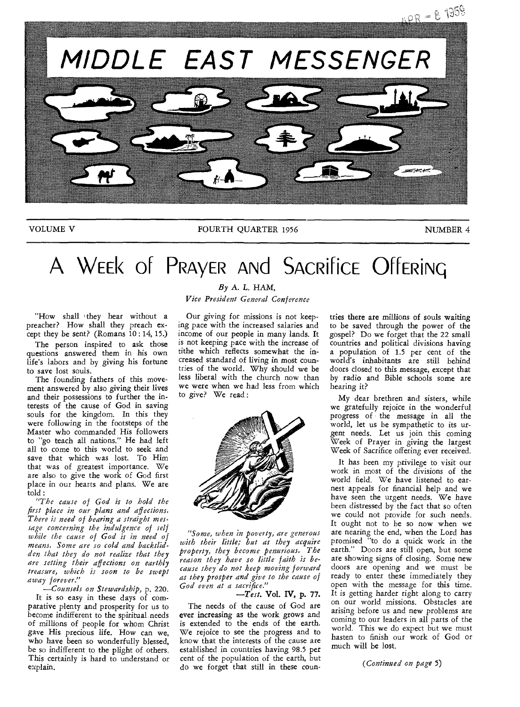

VOLUME V FOURTH QUARTER 1956 NUMBER 4

# A WEEK of PRAYER ANd SACRIfice Offering

"How shall they hear without a preacher? How shall they preach except they be sent? (Romans 10: 14, 15.)

The person inspired to ask those questions answered them in his own life's labors and by giving his fortune to save lost souls.

The founding fathers of this movement answered by also giving their lives and their possessions to further the interests of the cause of God in saving souls for the kingdom. In this they were following in the footsteps of the Master who commanded His followers to "go teach all nations." He had left all to come to this world to seek and save that which was lost. To Him that was of greatest importance. We are also to give the work of God first place in our hearts and plans. We are told :

*"The cause of God is to hold the first place in our plans and affections. There is need of bearing a straight message concerning the indulgence of self while the cause of God is in need of means. Some are so cold and backslidden that they do not realize that they are setting their affections on earthly treasure, which is soon to be swept away forever."* 

*—Counsels on Stewardship,* p. 220. It is so easy in these days of comparative plenty and prosperity for us to become indifferent to the spiritual needs of millions of people for whom Christ gave His precious life. How can we, who have been so wonderfully blessed, be so indifferent to the plight of others. This certainly is hard to understand or explain.

## *By* A. L. HAM,

*Vice President General Conference* 

Our giving for missions is not keeping pace with the increased salaries and income of our people in many lands. It is not keeping pace with the increase of tithe which reflects somewhat the increased standard of living in most countries of the world. Why should we be less liberal with the church now than we were when we had less from which to give? We read :



*"Some, when in poverty, are generous with their little; but as they acquire property, they become penurious. The reason they have so little faith is because they do not keep moving forward as they prosper and give to the cause of God even at a sacrifice."* 

## *—Test.* **Vol. IV, p.** *77.*

The needs of the cause of God are ever increasing as the work grows and is extended to the ends of the earth. We rejoice to see the progress and to know that the interests of the cause are established in countries having 98.5 per cent of the population of the earth, but do we forget that still in these countries there are millions of souls waiting to be saved through the power of the gospel? Do we forget that the 22 small countries and political divisions having a population of 1.5 per cent of the world's inhabitants are still behind doors closed to this message, except that by radio and Bible schools some are hearing it?

My dear brethren and sisters, while we gratefully rejoice in the wonderful progress of the message in all the world, let us be sympathetic to its urgent needs. Let us join this coming Week of Prayer in giving the largest Week of Sacrifice offering ever received.

It has been my privilege to visit our work in most of the divisions of the world field. We have listened to earnest appeals for financial help and we have seen the urgent needs. We have been distressed by the fact that so often we could not provide for such needs. It ought not to be so now when we are nearing the end, when the Lord has promised "to do a quick work in the earth." Doors are still open, but some are showing signs of closing. Some new doors are opening and we must be ready to enter these immediately they open with the message for this time. It is getting harder right along to carry on our world missions. Obstacles are arising before us and new problems are coming to our leaders in all parts of the world. This we do expect but we must hasten to finish our work of God or much will be lost.

*(Continued on page* 5)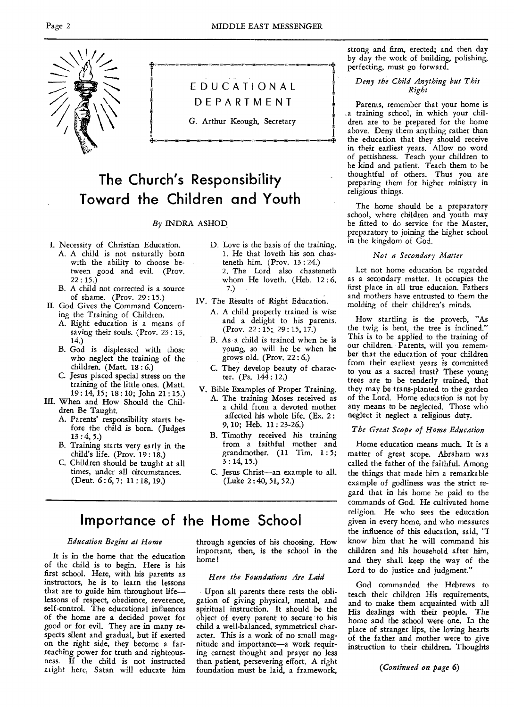

EDUCATIONAL DEPARTMENT

r ur lu au nu t un de la construction de la construction de la construction de la construction de la construct<br>L'ann lui au nu de la construction de la construction de la construction de la construction de la construction

G. Arthur Keough, Secretary

# **The Church's Responsibility Toward the Children and Youth**

### *By* INDRA ASHOD

- I. Necessity of Christian Education. A. A child is not naturally born with the ability to choose between good and evil. (Prov. 22 : 15.)
	- B. A child not corrected is a source of shame. (Prov. 29 : 15.)
- II. God Gives the Command Concerning the Training of Children.
	- A. Right education is a means of saving their souls. (Prov. 23 : 13, 14.)
	- B. God is displeased with those who neglect the training of the children. (Matt. 18 : 6.)
	- C. Jesus placed special stress on the training of the little ones. (Matt. 19: 14, 15; 18: 10; John 21 : 15.)
- III. When and How Should the Children Be Taught.
	- A. Parents' responsibility starts before the child is born. (Judges  $13:4, 5.$
	- B. Training starts very early in the child's life. (Prov. 19 : 18.)
	- C. Children should be taught at all times, under all circumstances. (Deut. 6:6, 7; 11:18, 19.)
- D. Love is the basis of the training. 1. He that loveth his son chasteneth him. (Prov. 13 : 24.) 2. The Lord also chasteneth whom He loveth. (Heb. 12:6, 7.)
- IV. The Results of Right Education.
	- A. A child properly trained is wise and a delight to his parents. (Prov. 22 : 15; 29 : 15, 17.)
	- B. As a child is trained when he is young, so will he be when he grows old. (Prov. 22 : 6.)
	- C. They develop beauty of character. (Ps. 144 : 12.)
- V. Bible Examples of Proper Training. A. The training Moses received as a child from a devoted mother affected his whole life. (Ex. 2: 9, 10; Heb. 11 : 23-26.)
	- B. Timothy received his training from a faithful mother and grandmother. (11 Tim. 1 : 5; 3 : 14, 15.)
	- C. Jesus Christ—an example to all. (Luke 2 : 40, 51, 52.)

strong and firm, erected; and then day by day the work of building, polishing, perfecting, must go forward.

#### *Deny the Child Anything but This Right*

i<br>|<br>|}<br>|} Parents, remember that your home is \_a training school, in which your children are to be prepared for the home above. Deny them anything rather than the education that they should receive in their earliest years. Allow no word of pettishness. Teach your children to be kind and patient. Teach them to be thoughtful of others. Thus you are preparing them for higher ministry in religious things.

The home should be a preparatory school, where children and youth may be fitted to do service for the Master, preparatory to joining the higher school in the kingdom of God.

### *Not a Secondary Matter*

Let not home education be regarded as a secondary matter. It occupies the first place in all true educaion. Fathers and mothers have entrusted to them the molding of their children's minds.

How startling is the proverb, "As the twig is bent, the tree is inclined." This is to be applied to the training of our children. Parents, will you remember that the education of your children from their earliest years is committed to you as a sacred trust? These young trees are to be tenderly trained, that they may be trans-planted to the garden of the Lord. Home education is not by any means to be neglected. Those who neglect it neglect a religious duty.

### *The Great Scope of Home Education*

Home education means much. It is a matter of great scope. Abraham was called the father of the faithful. Among the things that made him a remarkable example of godliness was the strict regard that in his home he paid to the commands of God. He cultivated home religion. He who sees the education given in every home, and who measures the influence of this education, said, "I know him that he will command his children and his household after him, and they shall keep the way of the Lord to do justice and judgment."

God commanded the Hebrews to teach their children His requirements, and to make them acquainted with all His dealings with their people. The home and the school were one. Li the place of stranger lips, the loving hearts of the father and mother were to give instruction to their children. Thoughts

#### *(Continued on page* 6)

# **Importance of the Home School**

#### *Education Begins at Home*

It is in the home that the education of the child is to begin. Here is his first school. Here, with his parents as instructors, he is to learn the lessons that are to guide him throughout life lessons of respect, obedience, reverence, self-control. The educational influences of the home are a decided power for good or for evil. They are in many respects silent and gradual, but if exerted on the right side, they become a farreaching power for truth and righteousness. If the child is not instructed aright here, Satan will educate him

through agencies of his choosing. How important, then, is the school in the home !

### *Here the Foundations Are Laid*

Upon all parents there rests the obligation of giving physical, mental, and spiritual instruction. It should be the object of every parent to secure to his child a well-balanced, symmetrical character. This is a work of no small magnitude and importance—a work requiring earnest thought and prayer no less than patient, persevering effort. A right foundation must be laid, a framework,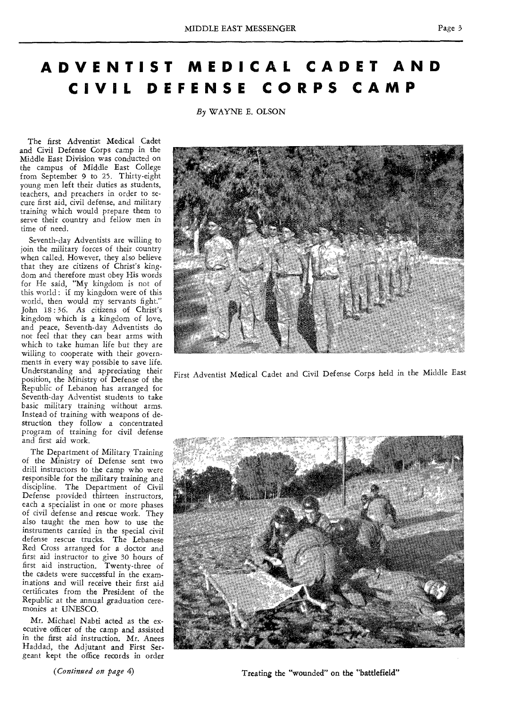# **ADVENTIST MEDICAL CADET AND CIVIL DEFENSE CORPS CAMP**

**By WAYNE E. OLSON** 

**The first Adventist Medical Cadet and Civil Defense Corps camp in the Middle East Division was conducted on the campus of Middle East College from September 9 to 25. Thirty-eight young men left their duties as students, teachers, and preachers in order to secure first aid, civil defense, and military training which would prepare them to serve their country and fellow men in time of need.** 

**Seventh-day Adventists are willing to join the military forces of their country when called. However, they also believe that they are citizens of Christ's kingdom and therefore must obey His words for He said, "My kingdom is not of this world : if my kingdom were of this world, then would my servants fight." John 18 : 36. As citizens of Christ's kingdom which is a kingdom of love, and peace, Seventh-day Adventists do not feel that they can bear arms with which to take human life but they are willing to cooperate with their governments in** *every* **way possible to save life. Understanding and appreciating their position, the Ministry of Defense of the Republic of Lebanon has arranged for Seventh-day Adventist students to take basic military training without arms. Instead of training with weapons of destruction they follow a concentrated program of training for civil defense and first aid work.** 

**The Department of Military Training of the Ministry of Defense sent two drill instructors to the camp who were responsible for the military training and discipline. The Department of Civil Defense provided thirteen instructors, each a specialist in one or more phases of civil defense and rescue work. They also taught the men how to use the instruments carried in the special civil defense rescue trucks. The Lebanese Red Cross arranged for a doctor and first aid instructor to give 30 hours of first aid instruction. Twenty-three of the cadets were successful in the examinations and will receive their first aid certificates from the President of the Republic at the annual graduation ceremonies at UNESCO.** 

**Mr. Michael Nabti acted as the executive officer of the camp and assisted in the first aid instruction. Mr. Anees Haddad, the Adjutant and First Sergeant kept the office records in order** 







**(Continued on page 4)** Treating the "wounded" on the "battlefield"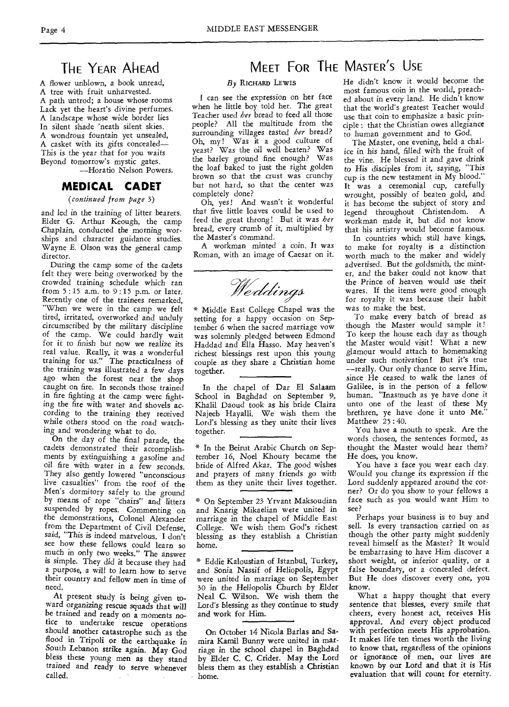# THE YEAR AHEAd

A flower unblown, a book unread, A tree with fruit unharvested. A path untrod; a house whose rooms Lack yet the heart's divine perfumes. A landscape whose wide border lies In silent shade 'neath silent skies. A wondrous fountain yet unsealed, A casket with its gifts concealed— This is the year that for you waits Beyond tomorrow's mystic gates.

—Horatio Nelson Powers.

# **MEDICAL CADET**

*(continued from page* 3)

and led in the training of litter bearers. Elder G. Arthur Keough, the camp Chaplain, conducted the morning worships and character guidance studies. Wayne E. Olson was the general camp director.

During the camp some of the cadets felt they were being overworked by the crowded training schedule which ran from 5 : 15 a.m. to 9: 15 p.m. or later. Recently one of the trainees remarked, "When we were in the camp we felt tired, irritated, overworked and unduly circumscribed by the military discipline of the camp. We could hardly wait for it to finish but now we realize its real value. Really, it was a wonderful training for *us."* The practicalness of the training was illustrated a few days ago when the forest near the shop caught on fire. In seconds those trained in fire fighting at the camp were fighting the fire with water and shovels according to the training they received while others stood on the road watching and wondering what to do.

On the day of the final parade, the cadets demonstrated their accomplishments by extinguishing a gasoline and oil fire with water in a few seconds. They also gently lowered *"unconscious*  live casualties" from the roof of the Men's dormitory safely to the ground by means of rope "chairs" and litters suspended by ropes. Commenting on the demonstrations, Colonel Alexander from the Department of Civil Defense, said, "This is indeed marvelous. I don't see how these fellows could learn so much *in* only two weeks." The answer is simple. They did it because they had a purpose, a will to learn how to serve their country and fellow men in time of need.

At present study is being given toward organizing rescue squads that will be trained and ready on a moments notice to undertake rescue operations should another catastrophe such as the flood in Tripoli or the earthquake in South Lebanon strike again. May God bless these young men as they stand trained *and* ready to serve whenever called.

# Meet For The Master's Use

#### *By* RICHARD LEWIS

I can see the expression on her face when he little boy told her. The great Teacher used *her* bread to feed all those people? All the multitude from the surrounding villages tasted *her* bread? Oh, my! Was it a good culture of yeast? Was the oil well beaten? Was the barley ground fine enough? Was the loaf baked to just the right golden brown so that the crust was crunchy but not hard, so that the center was completely done?

Oh, yes! And wasn't it wonderful that five little loaves could be used to feed the great throng! But it was *her*  bread, every crumb of it, multiplied by the Master's command.

A workman minted a coin. It was Roman, with an image of Caesar on it.

<sup>k</sup>*63*/, *d* r,ew *1/* 

\* Middle East College Chapel was the setting for a happy occasion on September 6 when the sacred marriage vow was solemnly pledged between Edmond Haddad and Ella Hasso. May heaven's richest blessings rest upon this young couple as they share a Christian home together.

In the chapel of Dar El Salaam School in Baghdad on September 9, Khalil Daoud took as his bride Claira Najeeb Hayalli. We wish them the Lord's blessing as they unite their lives together.

\* In the Beirut Arabic Church on September 16, Noel Khoury became the bride of Alfred Akar. The good wishes and prayers of many friends go with them as they unite their lives together.

\* On September 23 Yrvant Maksoudian and Knarig Mikaelian were united in marriage in the chapel of Middle East College. We wish them God's richest blessing as they establish a Christian home.

\* Eddie Kaloustian of Istanbul, Turkey, and Sonia Nassif of Heliopolis, Egypt were united in marriage on September 30 in the Heliopolis Church by Elder Neal C. Wilson. We wish them the Lord's blessing as they continue to study and work for Him.

On October 14 Nicola Barlas and Samira Kamil Bunny were united in marriage in the school chapel in Baghdad by Elder C. C. Crider. May the Lord bless them as they establish a Christian home.

He didn't know it would become the most famous coin in the world, preached about in every land. He didn't know that the world's greatest Teacher would use that coin to emphasize a basic principle : that the Christian owes allegiance to human government and to God.

The Master, one evening, held a chalice in his hand, filled with the fruit of the vine. He blessed it and gave drink to His disciples from it, *saying,* "This cup is the new testament in My blood." It was a ceremonial cup, carefully wrought, possibly of beaten gold, and it has become the subject of story and legend throughout Christendom. A workman made it, but did not know that his artistry would become famous.

In countries which still have kings, to make for royalty is a distinction worth much to the maker and widely advertised. But the goldsmith, the minter, and the baker could not know that the Prince of heaven would use their wares. If the items were good enough for royalty it was because their habit was to make the best.

To make every batch of bread as though the Master would sample it! To keep the house each day as though the Master would visit! What a new glamour would attach to homemaking under such motivation! But it's true —really. Our only chance to serve Him, *since* He *ceased* to walk the lanes of Galilee, is in the person of a fellow human. "Inasmuch as ye have done it unto one of the least of these My brethren, ye have done it unto Me." Matthew 25 : 40.

You have a mouth to speak. Are the words chosen, the sentences formed, as thought the Master would hear them? He does, you know.

You have a face you wear each day. Would you change its expression if the Lord suddenly appeared around the corner? Or do you show to your fellows a face such as you would want Him to see?

Perhaps your business is to buy and sell. Is every transaction carried on as though the other party might suddenly reveal himself as the Master? It would be embarrasing to have Him discover a short weight, or inferior quality, or a false boundary, or a concealed defect. But He does discover every one, you know.

What a happy thought that every sentence that blesses, every *smile* that cheers, every honest act, receives His approval. And every object produced with perfection meets His approbation. It makes life ten times worth the living to know that, regardless of the opinions or ignorance of men, our lives are known by our Lord and that it is His evaluation that will count for eternity.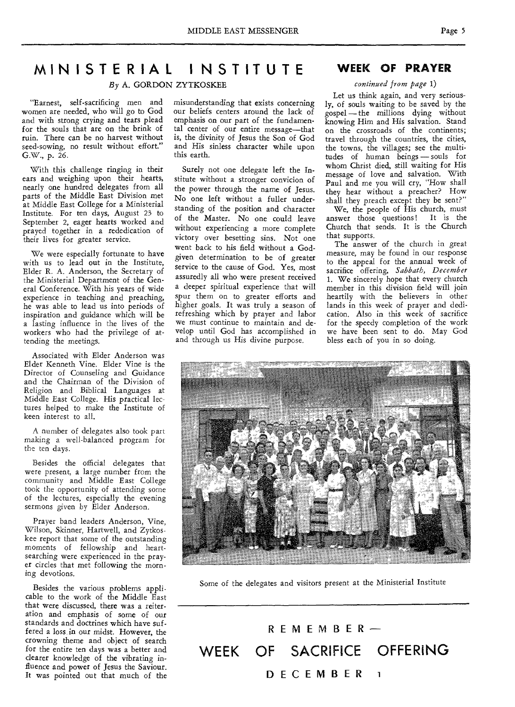# **MINISTERIAL INSTITUTE**  *By* A. GORDON ZYTKOSKEE

"Earnest, self-sacrificing men and women are needed, who will go to God and with strong crying and tears plead for the souls that are on the brink of ruin. There can be no harvest without seed-sowing, no result without effort.' G.W., p. 26.

With this challenge ringing in their ears and weighing upon their hearts, nearly one hundred delegates from all parts of the Middle East Division met at Middle East College for a Ministerial Institute. For ten days, August 23 to September 2, eager hearts worked and prayed together in a rededication of their lives for greater service.

We were especially fortunate to have with us to lead out in the Institute, Elder R. A. Anderson, the Secretary of the Ministerial Department of the General Conference. With his years of wide experience in teaching and preaching, he was able to lead us into periods of inspiration and guidance which will be a lasting influence in the lives of the workers who had the privilege of attending the meetings.

Associated with Elder Anderson was Elder Kenneth Vine. Elder Vine is the Director of Counseling and Guidance and the Chairman of the Division of Religion and Biblical Languages at Middle East College. His practical lectures helped to make the Institute of keen interest to all.

A number of delegates also took part making a well-balanced program for the ten days.

Besides the official delegates that were present, a large number from the community and Middle East College took the opportunity of attending some of the lectures, especially the evening sermons given by Elder Anderson.

Prayer band leaders Anderson, Vine, Wilson, Skinner, Hartwell, and Zytkoskee report that some of the outstanding moments of fellowship and heartsearching were experienced in the prayer circles that met following the morning devotions.

Besides the various problems applicable to the work of the Middle East that were discussed, there was a reiteration and emphasis of some of our standards and doctrines which have suffered a loss, in our midst. However, the crowning theme and object of search for the entire ten days was a better and clearer knowledge of the vibrating influence and power of Jesus the Saviour. It was pointed out that much of the misunderstanding that exists concerning our beliefs centers around the lack of emphasis on our part of the fundamental center of our entire message—that is, the divinity of Jesus the Son of God and His sinless character while upon this earth.

Surely not one delegate left the Institute without a stronger convicion of the power through the name of Jesus. No one left without a fuller understanding of the position and character of the Master. No one could leave without experiencing a more complete victory over besetting sins. Not one went back to his field without a Godgiven determination to be of greater service to the cause of God. Yes, most assuredly all who were present received a deeper spiritual experience that will spur them on to greater efforts and higher goals. It was truly a season of refreshing which by prayer and labor we must continue to maintain and develop until God has accomplished in and through us His divine purpose.

## **WEEK OF PRAYER**

#### *continued from page* 1)

Let us think again, and very seriously, of souls waiting to be saved by the gospel — the millions dying without knowing Him and His salvation. Stand on the crossroads of the continents; travel through the countries, the cities, the towns, the villages; see the multitudes of human beings — souls for whom Christ died, still waiting for His message of love and salvation. With Paul and me you will cry, "How shall they hear without a preacher? How shall they preach except they be sent?"

We, the people of His church, must answer those questions! It is the Church that sends. It is the Church that supports.

The answer of the church in great measure, may be found in our response to the appeal for the annual week of sacrifice offering, *Sabbath, December 1. We* sincerely hope that every church member in this division field will join heartily with the believers in other lands in this week of prayer and dedication. Also in this week of sacrifice for the speedy completion of the work we have been sent to do. May God bless each of you in so doing.



Some of the delegates and visitors present at the Ministerial Institute

REMEMBER-**WEEK OF SACRIFICE OFFERING**  DECEMBER 1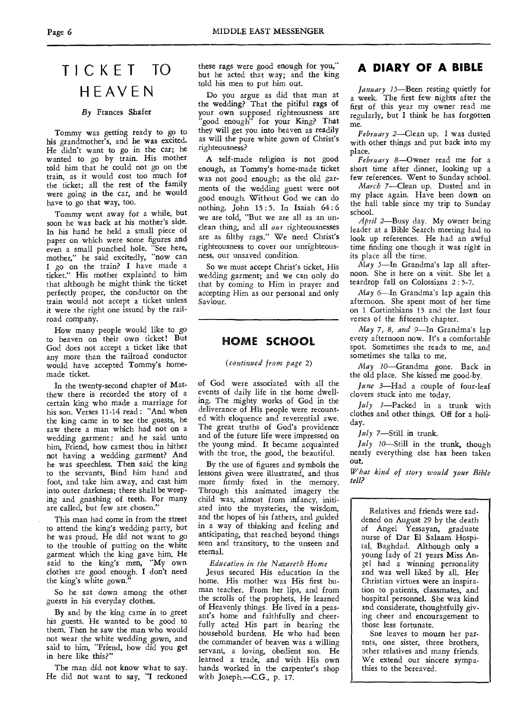# TICKET TO HEAVEN

### *By* Frances Shafer

Tommy was getting ready to go to his grandmother's, and he was excited. He didn't want to go in the car; he wanted to go by train. His mother told him that he could not go on the train, as it would cost too much for the ticket; all the rest of the family were going in the car, and he would have to go that way, too.

Tommy went away for a while, but soon he was back at his mother's side. In his hand he held a small piece of paper on which were some figures and even a small punched hole. "See here, mother," he said excitedly, "now can I go on the train? I have made a ticket." His mother explained to him that although he might think the ticket perfectly proper, the conductor on the train would not accept a ticket unless it were the right one issued by the railroad company.

How many people would like to go to heaven on their own ticket! But God does not accept a ticket like that any more than the railroad conductor would have accepted Tommy's homemade ticket.

In the twenty-second chapter of Matthew there is recorded the story of a certain king who made a marriage for his son. Verses 11-14 read: "And when the king came in to see the guests, he saw there a man which had not on a wedding garment: and he said unto him, Friend, how camest thou in hither not having a wedding garment? And he was speechless. Then said the king to the servants, Bind him hand and foot, and take him away, and cast him into outer darkness; there shall be weeping and gnashing of teeth. For many are called, but few are chosen."

This man had come in from the street to attend the king's wedding party, but he was proud. He did not want to go to the trouble of putting on the white garment which the king gave him. He said to the king's men, "My own clothes are good enough. I don't need the king's white gown."

So he sat down among the other guests in his everyday clothes.

By and by the king came in to greet his guests. He wanted to be good to them. Then he saw the man who would not wear the white wedding gown, and said to him, "Friend, how did you get in here like this?"

The man did not know what to say. He did not want to say, "I reckoned these rags were good enough for you," but he acted that way; and the king told his men to put him out.

Do you argue as did that man at the wedding? That the pitiful rags of your own supposed righteousness are "good enough" for your King? That they will get you into heaven as readily as will the pure white gown of Christ's righteousness?

A self-made religion is not good enough, as Tommy's home-made ticket was not good enough; as the old garments of the wedding guest were not good enough. Without God we can do nothing. John 15:5. In Isaiah 64:6 we are told, "But we are all as an unclean thing, and all *our* righteousnesses are as filthy rags." We need Christ's righteousness to cover our unrighteousness, our unsaved condition.

So we must accept Christ's ticket, His wedding garment; and we can only do that by coming to Him in prayer and accepting Him as our personal and only Saviour.

## **HOME SCHOOL**

#### *(continued from page* 2)

of God were associated with all the events of daily life in the home dwelling. The mighty works of God in the deliverance of His people were recounted with eloquence and reverential awe. The great truths of God's providence and of the future life were impressed on the young mind. It became acquainted with the true, the good, the beautiful.

By the use of figures and symbols the lessons given were illustrated, and thus more firmly fixed in the memory. Through this animated imagery the child was, almost from infancy, initiated into the mysteries, the wisdom, and the hopes of his fathers, and guided in a way of thinking and feeling and anticipating, that reached beyond things seen and transitory, to the unseen and eternal.

#### *Education in the Nazareth Home*

Jesus secured His education in the home. His mother was His first human teacher. From her lips, and from the scrolls of the prophets, He learned of Heavenly things. He lived in a peasant's home and faithfully and cheerfully acted His part in bearing the household burdens. He who had been the commander of heaven was a willing servant, a loving, obedient son. He learned a trade, and with His own hands worked in the carpenter's shop with Joseph.—C.G., p. 17.

# **A DIARY OF A BIBLE**

*January 15—Been* resting quietly for a week. The first few nights after the first of this year my owner read me regularly, but I think he has forgotten me.

*February* 2—Clean up. I was dusted with other things and put back into my place.

*February 8—Owner* read me for a short time after dinner, looking up a few references. Went to Sunday school.

*March* 7—Clean up. Dusted and in my place again. Have been down on the hall table since my trip to Sunday school.

*April* 2—Busy day. My owner being leader at a Bible Search meeting had to look up references. He had an awful time finding one though it was right in its place all the time.

*May 5—In* Grandma's lap all afternoon. She is here on a visit. She let a teardrop fall on Colossians 2:5-7.

*May* 6—In Grandma's lap again this afternoon. She spent most of her time on 1 Cortinthians 13 and the last four verses of the fifteenth chapter.

*May 7, 8, and* 9—In Grandma's lap every afternoon now. It's a comfortable spot. Sometimes she reads to me, and sometimes she talks to me.

*May* 10—Grandma gone. Back in the old place. She kissed me good-by.

*June 3—Had* a couple of four-leaf clovers stuck into me today.

*July 1—Packed* in a trunk with clothes and other things. Off for a holiday.

*July 7—Still* in trunk.

*July* 10—Still in the trunk, though nearly everything else has been taken out.

*What kind of story would your Bible tell?* 

Relatives and friends were saddened on August 29 by the death of Angel Yessayan, graduate nurse of Dar El Salaam Hospital, Baghdad. Although only a young lady of 21 years Miss Angel had a winning personality and was well liked by all. Her Christian virtues were an inspiration to patients, classmates, and hospital personnel. She was kind and considerate, thoughtfully giving cheer and encouragement to those less fortunate.

Sne leaves to mourn her parents, one sister, three brothers, other relatives and many friends. We extend our sincere sympathies to the bereaved.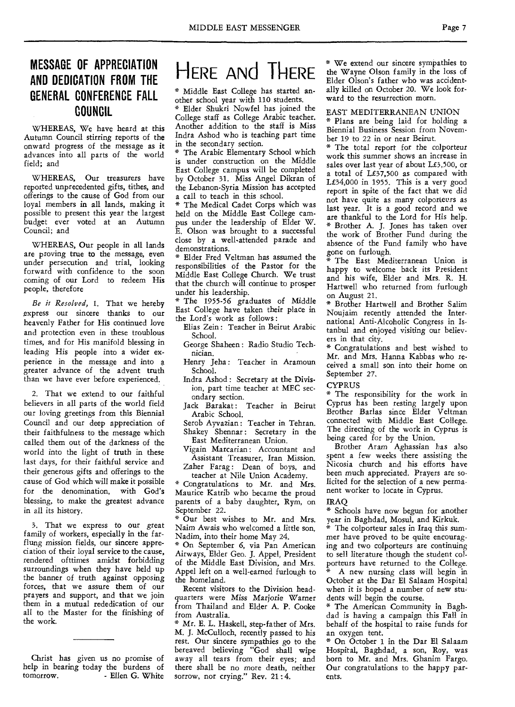# **MESSAGE OF APPRECIATION GENERAL CONFERENCE FALL COUNCIL**

WHEREAS, We have heard at this Autumn Council stirring reports of the onward progress of the message as it advances into all parts of the world field; and

WHEREAS, Our treasurers have reported unprecedented. gifts, tithes, and offerings to the cause of God from our loyal members in all lands, making it possible to present this year the largest budget ever voted at an Autumn Council; and

WHEREAS, Our people in all lands are proving true to the message, even under persecution and trial, looking forward with confidence to the soon coming of our Lord to redeem His people, therefore

*Be it Resolved,* 1. That we hereby express our sincere thanks to our heavenly Father for His continued love and protection even in these troublous times, and for His manifold blessing in leading His people into a wider experience in the message and into a greater advance of the advent truth than we have ever before experienced.

2. That we extend to our faithful believers in all parts of the world field our loving greetings from this Biennial Council and our deep appreciation of their faithfulness to the message which called them out of the darkness of the world into the light of truth in these last days, for their faithful service and their generous gifts and offerings to the cause of God which will make it possible for the denomination, with God's blessing, to make the greatest advance in all its history.

3. That we express to our great family of workers, especially in the farflung mission fields, our sincere appreciation of their loyal service to the cause, rendered ofttimes amidst forbidding surroundings when they have held up the banner of truth against opposing forces, that we assure them of our prayers and support, and that we join them in a mutual rededication of our all to the Master for the finishing of the work.

Christ has given us no promise of help in bearing today the burdens of<br>tomorrow. - Ellen G. White - Ellen G. White

# MESSAGE OF APPRECIATION **HERE AND THERE**

\* Middle East College has started another school year with 110 students.

\* Elder Shukri Nowfel has joined the College staff as College Arabic teacher. Another addition to the staff is Miss Indra Ashod who is teaching part time in the secondary section.

\* The Arabic Elementary School which is under construction on the Middle East College campus will be completed by October 31. Miss Angel Dikran of the Lebanon-Syria Mission has accepted a call to teach in this school.

\* The Medical Cadet Corps which was held on the Middle East College campus under the leadership of Elder W. E. Olson was brought to a successful close by a well-attended parade and demonstrations.

\* Elder Fred Veltman has assumed the responsibilities of the Pastor for the Middle East College Church. We trust that the church will continue to prosper under his leadership.

\* The 1955-56 graduates of Middle East College have taken their place in the Lord's work as follows :

Elias Zein : Teacher in Beirut Arabic School.

George Shaheen : Radio Studio Technician.

Henry Jeha: Teacher in Aramoun School.

Indra Ashod : Secretary at the Division, part time teacher at MEC secondary section.

Jack Barakat: Teacher in Beirut Arabic School.

Serob Ayvazian: Teacher in Tehran. Shakey Shennar: Secretary in the East Mediterranean Union.

Vigain Marcarian: Accountant and Assistant Treasurer, Iran Mission.

Zaher Farag: Dean of boys, and teacher at Nile Union Academy.

\* Congratulations to Mr. and Mrs. Maurice Katrib who became the proud parents of a baby daughter, Rym, on September 22.

\* Our best wishes to Mr. and Mrs. Naim Awais who welcomed a little son, Nadim, into their home May 24.

\* On September 6, via Pan American Airways, Elder Geo. J. Appel, President of the Middle East Division, and Mrs. Appel left on a well-earned furlough to the homeland.

Recent visitors to the Division headquarters were *Miss* Marjorie Warner from Thailand and Elder A. P. Cooke from Australia.

\* Mr. E. L. Haskell, step-father of Mrs. M. J. McCulloch, recently passed to his rest. Our sincere sympathies go to the bereaved believing "God shall wipe away all tears from their eyes; and there shall be no more death, neither sorrow, nor crying." Rev. 21:4.

\* We extend our sincere sympathies to the Wayne Olson family in the loss of Elder Olson's father who was accidentally killed on October 20. We look forward to the resurrection morn.

#### EAST MEDITERRANEAN UNION

\* Plans are being laid for holding a Biennial Business Session from November 19 to 22 in or near Beirut.

\* The total report for the colporteur work this summer shows an increase in sales over last year of about L£3,500, or a total of L£37,500 as compared with L£34,000 in 1955. This is a very good report in spite of the fact that we did not have quite as many colporteurs as last year. It is a good record and we are thankful to the Lord for His help. \* Brother A. J. Jones has taken over the work of Brother Fund during the absence of the Fund family who have gone on furlough.

\* The East Mediterranean Union is happy to welcome back its President and his wife, Elder and Mrs. R. H. Hartwell who returned from furlough on August 21.

\* Brother Hartwell and Brother Salim Noujaim recently attended the International Anti-Alcoholic Congress in Istanbul and enjoyed visiting our believers in that city.

\* Congratulations and best wished to Mr. and Mrs. Hanna Kabbas who received a small son into their home on September 27.

CYPRUS

\* The responsibility for the work in Cyprus has been resting largely upon Brother Barlas since Elder Veltman connected with Middle East College. The directing of the work in Cyprus is being cared for by the Union.

Brother Aram Aghassian has *also*  spent a few weeks there assisting the Nicosia church and his efforts have been much appreciated. Prayers are solicited for the selection of a new permanent worker to locate in Cyprus.

#### IRAQ

\* Schools have now begun for another year in Baghdad, Mosul, and Kirkuk.

\* The colporteur sales in Iraq this summer have proved to be quite encouraging and two colporteurs are continuing to sell literature though the student colporteurs have returned to the College. A new nursing class will begin in October at the Dar El Salaam Hospital when it is hoped a number of new students will begin the course.

\* The American Community in Baghdad is having a campaign this Fall in behalf of the hospital to raise funds for an oxygen tent.

\* On October 1 in the Dar El Salaam Hospital, Baghdad, a son, Roy, was born to Mr. and Mrs. Ghanim Fargo. Our congratulations to the happy parents.